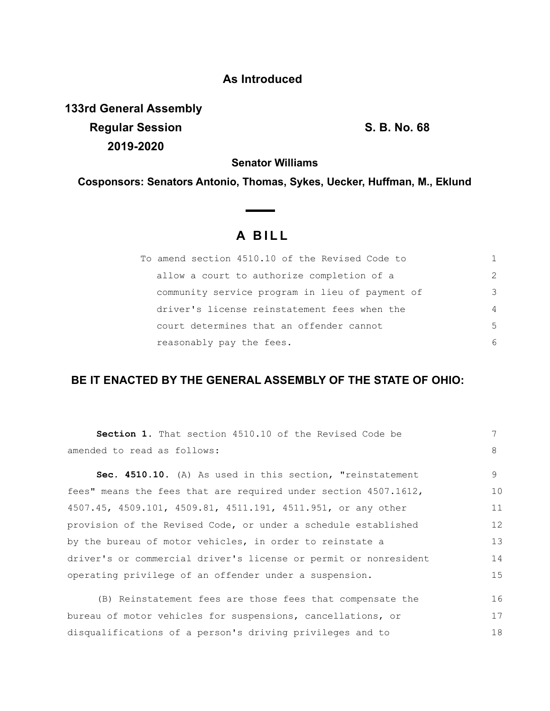## **As Introduced**

**133rd General Assembly Regular Session S. B. No. 68 2019-2020**

**Senator Williams**

**Cosponsors: Senators Antonio, Thomas, Sykes, Uecker, Huffman, M., Eklund**

# **A B I L L**

**Contract Contract Contract** 

| To amend section 4510.10 of the Revised Code to |               |
|-------------------------------------------------|---------------|
| allow a court to authorize completion of a      | $\mathcal{P}$ |
| community service program in lieu of payment of | 3             |
| driver's license reinstatement fees when the    | 4             |
| court determines that an offender cannot        | .5            |
| reasonably pay the fees.                        | 6             |

## **BE IT ENACTED BY THE GENERAL ASSEMBLY OF THE STATE OF OHIO:**

| <b>Section 1.</b> That section 4510.10 of the Revised Code be    | 7  |
|------------------------------------------------------------------|----|
| amended to read as follows:                                      | 8  |
| Sec. 4510.10. (A) As used in this section, "reinstatement        | 9  |
| fees" means the fees that are required under section 4507.1612,  | 10 |
| 4507.45, 4509.101, 4509.81, 4511.191, 4511.951, or any other     | 11 |
| provision of the Revised Code, or under a schedule established   | 12 |
| by the bureau of motor vehicles, in order to reinstate a         | 13 |
| driver's or commercial driver's license or permit or nonresident | 14 |
| operating privilege of an offender under a suspension.           | 15 |
| (B) Reinstatement fees are those fees that compensate the        | 16 |
| bureau of motor vehicles for suspensions, cancellations, or      | 17 |
| disqualifications of a person's driving privileges and to        | 18 |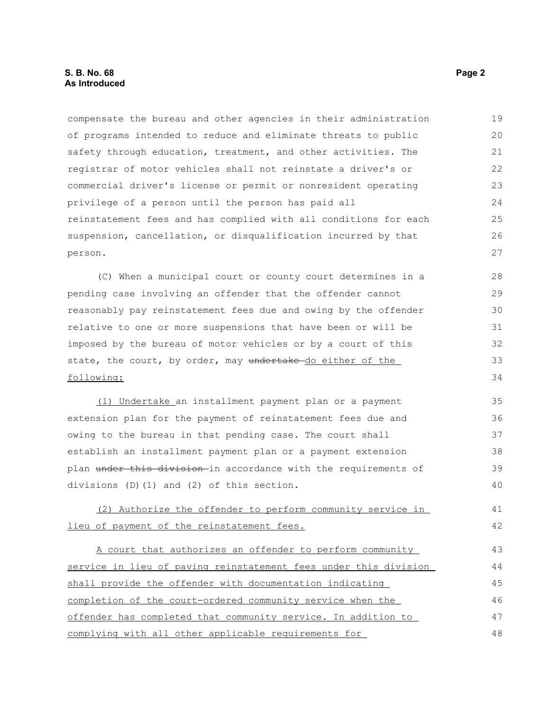#### **S. B. No. 68 Page 2 As Introduced**

compensate the bureau and other agencies in their administration of programs intended to reduce and eliminate threats to public safety through education, treatment, and other activities. The registrar of motor vehicles shall not reinstate a driver's or commercial driver's license or permit or nonresident operating privilege of a person until the person has paid all reinstatement fees and has complied with all conditions for each suspension, cancellation, or disqualification incurred by that person. 19 20 21 22 23 24 25 26 27

(C) When a municipal court or county court determines in a pending case involving an offender that the offender cannot reasonably pay reinstatement fees due and owing by the offender relative to one or more suspensions that have been or will be imposed by the bureau of motor vehicles or by a court of this state, the court, by order, may undertake-do either of the following: 28 29 30 31 32 33 34

(1) Undertake an installment payment plan or a payment extension plan for the payment of reinstatement fees due and owing to the bureau in that pending case. The court shall establish an installment payment plan or a payment extension plan under this division-in accordance with the requirements of divisions (D)(1) and (2) of this section. 35 36 37 38 39 40

(2) Authorize the offender to perform community service in lieu of payment of the reinstatement fees.

A court that authorizes an offender to perform community service in lieu of paying reinstatement fees under this division shall provide the offender with documentation indicating completion of the court-ordered community service when the offender has completed that community service. In addition to complying with all other applicable requirements for 43 44 45 46 47 48

41 42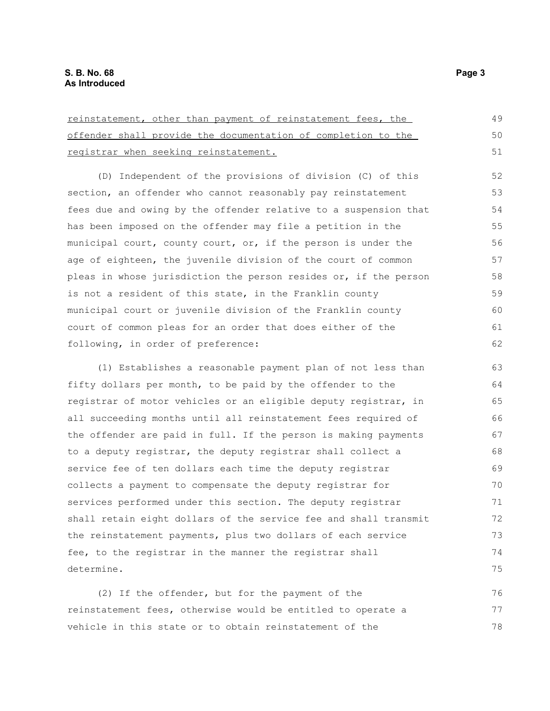| reinstatement, other than payment of reinstatement fees, the     |    |
|------------------------------------------------------------------|----|
| offender shall provide the documentation of completion to the    | 50 |
| registrar when seeking reinstatement.                            | 51 |
| (D) Independent of the provisions of division (C) of this        | 52 |
| section, an offender who cannot reasonably pay reinstatement     | 53 |
| fees due and owing by the offender relative to a suspension that | 54 |
| has been imposed on the offender may file a petition in the      | 55 |
| municipal court, county court, or, if the person is under the    | 56 |
| age of eighteen, the juvenile division of the court of common    | 57 |
| pleas in whose jurisdiction the person resides or, if the person | 58 |
| is not a resident of this state, in the Franklin county          | 59 |
| municipal court or juvenile division of the Franklin county      | 60 |
| court of common pleas for an order that does either of the       | 61 |
| following, in order of preference:                               | 62 |
| (1) Establishes a reasonable payment plan of not less than       | 63 |
| fifty dollars per month, to be paid by the offender to the       | 64 |
| registrar of motor vehicles or an eligible deputy registrar, in  | 65 |
| all succeeding months until all reinstatement fees required of   | 66 |
| the offender are paid in full. If the person is making payments  | 67 |
| to a deputy registrar, the deputy registrar shall collect a      | 68 |
| service fee of ten dollars each time the deputy registrar        | 69 |
| collects a payment to compensate the deputy registrar for        | 70 |
| services performed under this section. The deputy registrar      | 71 |
| shall retain eight dollars of the service fee and shall transmit | 72 |
| the reinstatement payments, plus two dollars of each service     | 73 |
| fee, to the registrar in the manner the registrar shall          | 74 |
| determine.                                                       | 75 |
| (2) If the offender, but for the payment of the                  | 76 |

reinstatement fees, otherwise would be entitled to operate a vehicle in this state or to obtain reinstatement of the 77 78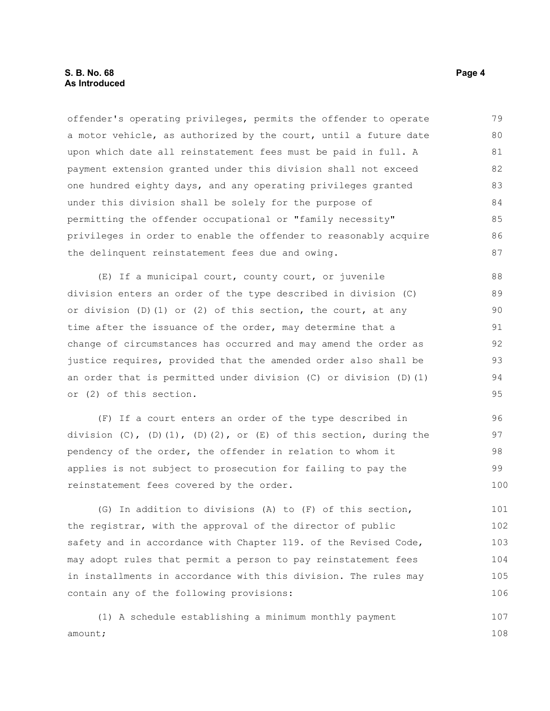#### **S. B. No. 68 Page 4 As Introduced**

offender's operating privileges, permits the offender to operate a motor vehicle, as authorized by the court, until a future date upon which date all reinstatement fees must be paid in full. A payment extension granted under this division shall not exceed one hundred eighty days, and any operating privileges granted under this division shall be solely for the purpose of permitting the offender occupational or "family necessity" privileges in order to enable the offender to reasonably acquire the delinquent reinstatement fees due and owing. 79 80 81 82 83 84 85 86 87

(E) If a municipal court, county court, or juvenile division enters an order of the type described in division (C) or division  $(D)$   $(1)$  or  $(2)$  of this section, the court, at any time after the issuance of the order, may determine that a change of circumstances has occurred and may amend the order as justice requires, provided that the amended order also shall be an order that is permitted under division (C) or division (D)(1) or (2) of this section. 88 89 90 91 92 93 94 95

(F) If a court enters an order of the type described in division  $(C)$ ,  $(D)$  $(1)$ ,  $(D)$  $(2)$ , or  $(E)$  of this section, during the pendency of the order, the offender in relation to whom it applies is not subject to prosecution for failing to pay the reinstatement fees covered by the order.

(G) In addition to divisions (A) to (F) of this section, the registrar, with the approval of the director of public safety and in accordance with Chapter 119. of the Revised Code, may adopt rules that permit a person to pay reinstatement fees in installments in accordance with this division. The rules may contain any of the following provisions: 101 102 103 104 105 106

(1) A schedule establishing a minimum monthly payment amount; 107 108